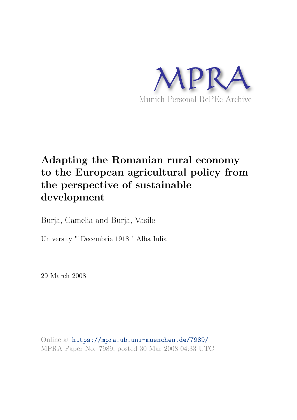

# **Adapting the Romanian rural economy to the European agricultural policy from the perspective of sustainable development**

Burja, Camelia and Burja, Vasile

University "1Decembrie 1918 " Alba Iulia

29 March 2008

Online at https://mpra.ub.uni-muenchen.de/7989/ MPRA Paper No. 7989, posted 30 Mar 2008 04:33 UTC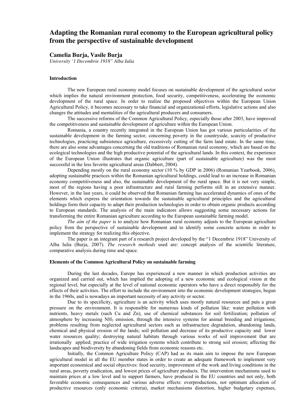## **Adapting the Romanian rural economy to the European agricultural policy from the perspective of sustainable development**

## **Camelia Burja, Vasile Burja**

*University '1 Decembrie 1918" Alba Iulia* 

#### **Introduction**

 The new European rural economy model focuses on sustainable development of the agricultural sector which implies the natural environment protection, food security, competitiveness, accelerating the economic development of the rural space. In order to realize the proposed objectives within the European Union Agricultural Policy, it becomes necessary to take financial and organizational efforts, legislative actions and also changes the attitudes and mentalities of the agricultural producers and consumers.

 The successive reforms of the Common Agricultural Policy, especially those after 2003, have improved the competitiveness and sustainable development of agriculture within the European Union.

 Romania, a country recently integrated in the European Union has got various particularities of the sustainable development in the farming sector, concerning poverty in the countryside, scarcity of productive technologies, practicing subsistence agriculture, excessively cutting of the farm land estate. In the same time, there are also some advantages concerning the old traditions of Romanian rural economy, which are based on the ecological technologies and the high productive potential of the agricultural lands. In this context, the experience of the European Union illustrates that organic agriculture (part of sustainable agriculture) was the most successful in the less favorite agricultural areas (Dabbert, 2004).

Depending mostly on the rural economy sector (10 % by GDP in 2006) (Romanian Yearbook, 2006), adopting sustainable practices within the Romanian agricultural holdings, could lead to an increase in Romanian economy competitiveness and also, the sustainable development of the rural space. But it is not very simple, most of the regions having a poor infrastructure and rural farming performs still in an extensive manner. However, in the last years, it could be observed that Romanian farming has accelerated dynamics of ones of the elements which express the orientation towards the sustainable agricultural principles and the agricultural holdings form their capacity to adapt their production technologies in order to obtain organic products according to European standards. The analysis of the main indicators allows suggesting some necessary actions for transforming the entire Romanian agriculture according to the European sustainable farming model.

*The aim of the paper* is to analyze how Romanian rural economy adjusts to the European agriculture policy from the perspective of sustainable development and to identify some concrete actions in order to implement the strategy for realizing this objective.

 The paper is an integrant part of a research project developed by the "1 Decembrie 1918" University of Alba Iulia (Burja, 2007). *The research methods* used are: concept analysis of the scientific literature, comparative analysis during time and space.

#### **Elements of the Common Agricultural Policy on sustainable farming**

 During the last decades, Europe has experienced a new manner in which production activities are organized and carried out, which has implied the adopting of a new economic and ecological vision at the regional level, but especially at the level of national economic operators who have a direct responsibly for the effects of their activities. The effort to include the environment into the economic development strategies, begun in the 1960s, and is nowadays an important necessity of any activity or sector.

Due to its specificity, agriculture is an activity which uses mostly natural resources and puts a great pressure on the environment. It is responsible for numerous kinds of pollution like: water pollution with nutrients, heavy metals (such Cu and Zn), use of chemical substances for soil fertilization; pollution of atmosphere by increasing NH<sub>3</sub> emission, through the intensive systems for animal breeding and irrigations; problems resulting from neglected agricultural sectors such as infrastructure degradation, abandoning lands, chemical and physical erosion of the lands; soil pollution and decrease of its productive capacity and lower water resources quality; destroying natural habitats through various works of soil improvement that are irrationally applied; practice of wide irrigation systems which contribute to strong soil erosion; affecting the landscapes and biodiversity by abandoning fields from economic reasons etc.

Initially, the Common Agriculture Policy (CAP) had as its main aim to impose the new European agricultural model in all the EU member states in order to create an adequate framework to implement very important economical and social objectives: food security, improvement of the work and living conditions in the rural areas, poverty eradication, and lowest prices of agriculture products. The intervention mechanisms used to maintain prices at a low level and to support farmers, have produced in the EU countries and not only, both favorable economic consequences and various adverse effects: overproductions, not optimum allocation of productive resources (only economic criteria), market mechanisms distortion, higher budgetary expenses,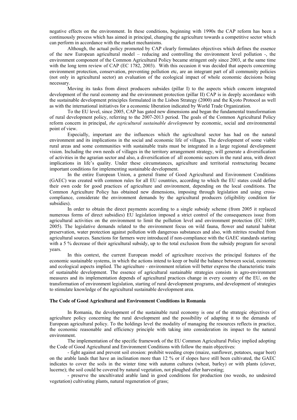negative effects on the environment. In these conditions, beginning with 1990s the CAP reform has been a continuously process which has aimed in principal, changing the agriculture towards a competitive sector which can perform in accordance with the market mechanisms.

Although, the actual policy promoted by CAP clearly formulates objectives which defines the essence of the new European agricultural model – reducing and controlling the environment level pollution -, the environment component of the Common Agricultural Policy became stringent only since 2003, at the same time with the long term review of CAP (EC 1782, 2003). With this occasion it was decided that aspects concerning environment protection, conservation, preventing pollution etc, are an integrant part of all community policies (not only in agricultural sector) an evaluation of the ecological impact of whole economic decisions being necessary.

Moving its tasks from direct producers subsides (pillar I) to the aspects which concern integrated development of the rural economy and the environment protection (pillar II) CAP is in deeply accordance with the sustainable development principles formulated in the Lisbon Strategy (2000) and the Kyoto Protocol as well as with the international initiatives for a economic liberation indicated by World Trade Organization.

To the EU level, since 2005, CAP has gated new dimensions and began the fundamental transformation of rural development policy, referring to the 2007-2013 period. The goals of the Common Agricultural Policy reform concern in principal, *the agricultural sustainable development* by economic, social and environmental point of view.

 Especially, important are the influences which the agricultural sector has had on the natural environment and its implications in the social and economic life of villages. The development of some viable rural areas and some communities with sustainable traits must be integrated in a large regional development vision. Including the own needs of villages in the territory arrangement strategy, will generate a diversification of activities in the agrarian sector and also, a diversification of all economic sectors in the rural area, with direct implications in life's quality. Under these circumstances, agriculture and territorial restructuring became important conditions for implementing sustainable development.

In the entire European Union, a general frame of Good Agricultural and Environment Conditions (GAEC) was created with common rules for all EU countries, according to which the EU states could define their own code for good practices of agriculture and environment, depending on the local conditions. The Common Agriculture Policy has obtained new dimensions, imposing through legislation and using crosscompliance, considerate the environment demands by the agricultural producers (eligibility condition for subsidies).

In order to obtain the direct payments according to a single subsidy scheme (from 2005 it replaced numerous forms of direct subsidies) EU legislation imposed a strict control of the consequences issue from agricultural activities on the environment to limit the pollution level and environment protection (EC 1689, 2005). The legislative demands related to the environment focus on wild fauna, flower and natural habitat preservation, water protection against pollution with dangerous substances and also, with nitrites resulted from agricultural sources. Sanctions for farmers were introduced if non-compliance with the GAEC standards starting with a 5 % decrease of their agricultural subsidy, up to the total exclusion from the subsidy program for several years.

In this context, the current European model of agriculture receives the principal features of the economic sustainable systems, in which the actions intend to keep or build the balance between social, economic and ecological aspects implied. The agriculture - environment relation will better express the characteristic traits of sustainable development. The essence of agricultural sustainable strategies consists in agro-environment measures and its implementation depends of agricultural practices change in every country of the EU, on the transformation of environment legislation, starting of rural development programs, and development of strategies to stimulate knowledge of the agricultural sustainable development area.

#### **The Code of Good Agricultural and Environment Conditions in Romania**

 In Romania, the development of the sustainable rural economy is one of the strategic objectives of agriculture policy concerning the rural development and the possibility of adapting it to the demands of European agricultural policy. To the holdings level the modality of managing the resources reflects in practice, the economic reasonable and efficiency principle with taking into consideration its impact to the natural environment.

The implementation of the specific framework of the EU Common Agricultural Policy implied adopting the Code of Good Agricultural and Environment Conditions with follow the main objectives:

- fight against and prevent soil erosion: prohibit weeding crops (maize, sunflower, potatoes, sugar beet) on the arable lands that have an inclination more than 12 % or if slopes have still been cultivated, the GAEC indicates to cover the soils in the winter time with autumn cultures (wheat, barley) or with plants (clover, lucerne); the soil could be covered by natural vegetation, not ploughed after harvesting;

- preserve the uncultivated arable land in good conditions for production (no weeds, no undesired vegetation) cultivating plants, natural regeneration of grass;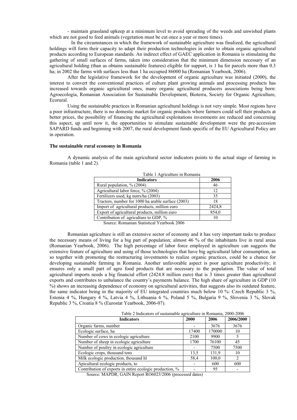- maintain grassland upkeep at a minimum level to avoid spreading of the weeds and unwished plants which are not good to feed animals (vegetation must be cut once a year or more times).

 In the circumstances in which the framework of sustainable agriculture was finalized, the agricultural holdings will form their capacity to adapt their production technologies in order to obtain organic agricultural products according to European standards. An indirect effect of GAEC application in Romania is stimulating the gathering of small surfaces of farms, taken into consideration that the minimum dimension necessary of an agricultural holding (than as obtains sustainable features) eligible for support, is 1 ha for parcels more than 0.3 ha; in 2002 the farms with surfaces less than 1 ha occupied 86000 ha (Romanian Yearbook, 2006).

After the legislative framework for the development of organic agriculture was initiated (2000), the interest to convert the conventional practices of culture plant growing animals and processing products has increased towards organic agricultural ones, many organic agricultural producers associations being born: Agroecologia, Romanian Association for Sustainable Development, Bioterra, Society for Organic Agriculture, Ecorural.

 Using the sustainable practices in Romanian agricultural holdings is not very simple. Most regions have a poor infrastructure, there is no domestic market for organic products where farmers could sell their products at better prices, the possibility of financing the agricultural exploitations investments are reduced and concerning this aspect, up until now it, the opportunities to stimulate sustainable development were the pre-accession SAPARD funds and beginning with 2007, the rural development funds specific of the EU Agricultural Policy are in operation.

### **The sustainable rural economy in Romania**

 A dynamic analysis of the main agricultural sector indicators points to the actual stage of farming in Romania (table 1 and 2).

| Table 1 Agriculture in Romania                     |        |  |
|----------------------------------------------------|--------|--|
| <b>Indicators</b>                                  | 2006   |  |
| Rural population, $\%$ (2004)                      | 46     |  |
| Agricultural labor force, % (2004)                 | 12     |  |
| Fertilizers used, kg nutrs/ha (2003)               | 35     |  |
| Tractors, number for 1000 ha arable surface (2003) | 18     |  |
| Import of agricultural products, million euro      | 2424,8 |  |
| Export of agricultural products, million euro      | 854,0  |  |
| Contribution of agriculture to GDP, %              | 10     |  |

Source: Romanian Statistical Yearbook 2006

Romanian agriculture is still an extensive sector of economy and it has very important tasks to produce the necessary means of living for a big part of population; almost 46 % of the inhabitants live in rural areas (Romanian Yearbook, 2006). The high percentage of labor force employed in agriculture can suggests the extensive feature of agriculture and using of those technologies that have big agricultural labor consumption, as so together with promoting the restructuring investments to realize organic practices, could be a chance for developing sustainable farming in Romania. Another unfavorable aspect is poor agriculture productivity; it ensures only a small part of agro food products that are necessary to the population. The value of total agricultural imports needs a big financial effort (2424.8 million euro) that is 3 times greater than agricultural exports and contributes to unbalance the country's payments balance. The high share of agriculture in GDP (10 %) shows an increasing dependence of economy on agricultural activities, that suggests also its outdated feature, the same indicator being in the majority of EU integrated countries much below 10 %: Czech Republic 3 %, Estonia 4 %, Hungary 4 %, Latvia 4 %, Lithuania 6 %, Poland 5 %, Bulgaria 9 %, Slovenia 3 %, Slovak Republic 3 %, Croatia 8 % (Eurostat Yearbook, 2006-07).

| Table 2 Indicators of sustainable agriculture in Romania, 2000-2006 |       |        |           |
|---------------------------------------------------------------------|-------|--------|-----------|
| <b>Indicators</b>                                                   | 2000  | 2006   | 2006/2000 |
| Organic farms, number                                               |       | 3676   | 3676      |
| Ecologic surface, ha                                                | 17400 | 170000 | 10        |
| Number of cows in ecologic agriculture                              | 2100  | 9900   |           |
| Number of sheep in ecologic agriculture                             | 1700  | 76100  | 45        |
| Number of poultry in ecologic agriculture                           |       | 7500   | 7500      |
| Ecologic crops, thousand tons                                       | 13.5  | 131.9  | 10        |
| Milk ecologic production, thousand hl                               | 58,4  | 100,0  |           |
| Apicultural ecologic products, to                                   |       | 600    | 600       |
| Contribution of exports in entire ecologic production, %            |       | 95     |           |

Source: MAPDR; GAIN Report RO6023/2006 (processed dates)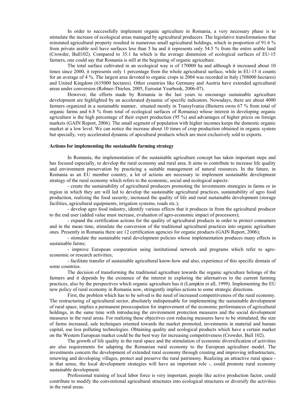In order to successfully implement organic agriculture in Romania, a very necessary phase is to stimulate the increase of ecological areas managed by agricultural producers. The legislative transformations that reinstated agricultural property resulted in numerous small agricultural holdings, which in proportion of 91.6 % from private arable soil have surfaces less than 5 ha and it represents only 54.5 % from the entire arable land (Crowder, Bull102). Compared to 35.1 ha which is the average dimension of ecological surfaces of EU-15 farmers, one could say that Romania is still at the beginning of organic agriculture.

The total surface cultivated in an ecological way is of 170000 ha and although it increased about 10 times since 2000, it represents only 1 percentage from the whole agricultural surface, while in EU-15 it counts for an average of 4 %. The largest area devoted to organic crops in 2004 was recorded in Italy (708000 hectares) and United Kingdom (635000 hectares). Other countries like Germany and Austria have extended agricultural areas under conversion (Rohner-Thielen, 2005, Eurostat Yearbook, 2006-07).

However, the efforts made by Romania in the last years to encourage sustainable agriculture development are highlighted by an accelerated dynamic of specific indicators. Nowadays, there are about 4000 farmers organized in a sustainable manner, situated mostly in Transylvania (Bioterra owns 67 % from total of organic farms and 6.8 % from total of ecological surfaces of Romania) whose interest in developing organic agriculture is the high percentage of their export production (95 %) and advantages of higher prices on foreign markets (GAIN Report, 2006). The small segment of population with higher incomes keeps the domestic organic market at a low level. We can notice the increase about 10 times of crop production obtained in organic system but specially, very accelerated dynamic of apicultural products which are most exclusively sold to exports.

#### **Actions for implementing the sustainable farming strategy**

 In Romania, the implementation of the sustainable agriculture concept has taken important steps and has focused especially, to develop the rural economy and rural area. It aims to contribute to increase life quality and environment preservation by practicing a suitable management of natural resources. In the future, in Romania as an EU member country, a lot of actions are necessary to implement sustainable development strategy of the rural economy which refers to the economic, social and ecological aspects:

- create the sustainability of agricultural producers promoting the investments strategies in farms or in region in which they are will led to develop the sustainable agricultural practices, sustainability of agro food production, realizing the food security, increased the quality of life and rural sustainable development (storage facilities, agricultural equipments, irrigation systems, roads etc.);

- develop agro food industry, identify various effects that it produces in from the agricultural producer to the end user (added value must increase, evaluation of agro-economic impact of processors);

- expand the certification actions for the quality of agricultural products in order to protect consumers and in the mean time, stimulate the conversion of the traditional agricultural practices into organic agriculture ones. Presently in Romania there are 12 certification agencies for organic products (GAIN Report, 2006);

- stimulate the sustainable rural development policies whose implementation produces many effects in sustainable farms;

- improve European cooperation using institutional network and programs which refer to agroeconomic or research activities;

- facilitate transfer of sustainable agricultural know-how and also, experience of this specific domain of some countries.

The decision of transforming the traditional agriculture towards the organic agriculture belongs of the farmers and it depends by the existence of the interest in exploring the alternatives to the current farming practices, also by the perspectives which organic agriculture has it (Lampkin et all, 1999). Implementing the EU new policy of rural economy in Romania now, stringently implies actions to some strategic directions.

 First, the problem which has to be solved is the need of increased competitiveness of the rural economy. The restructuring of agricultural sector, absolutely indispensable for implementing the sustainable development of rural space, implies a permanent preoccupation for improvement of the economic performances of agricultural holdings, in the same time with introducing the environment protection measures and the social development measures in the rural areas. For realizing these objectives cost reducing measures have to be stimulated, the size of farms increased, sale techniques oriented towards the market promoted, investments in material and human capital, use less polluting technologies. Obtaining quality and ecological products which have a certain market on the Western European market could be the best way for increasing competitiveness (Crowder, Bull 102).

The growth of life quality in the rural space and the stimulation of economic diversification of activities are also requirements for adapting the Romanian rural economy to the European agriculture model. The investments concern the development of extended rural economy through creating and improving infrastructure, renewing and developing villages, protect and preserve the rural patrimony. Realizing an attractive rural space in that sense, the local development strategies will have an important role -, could promote rural economy sustainable development.

Professional training of local labor force is very important, people like active production factor, could contribute to modify the conventional agricultural structures into ecological structures or diversify the activities in the rural areas.